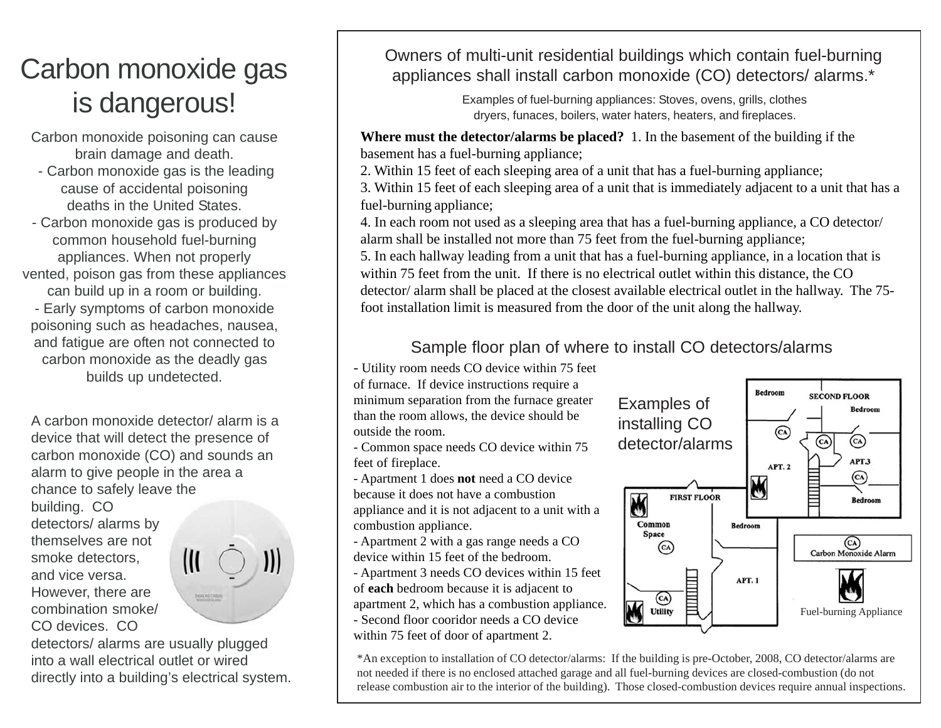# Carbon monoxide gas is dangerous!

Carbon monoxide poisoning can cause brain damage and death.

- Carbon monoxide gas is the leading cause of accidental poisoning deaths in the United States.
- Carbon monoxide gas is produced by common household fuel-burning appliances. When not properly vented, poison gas from these appliances can build up in a room or building. - Early symptoms of carbon monoxide poisoning such as headaches, nausea, and fatigue are often not connected to carbon monoxide as the deadly gas builds up undetected.

A carbon monoxide detector/ alarm is a device that will detect the presence of carbon monoxide (CO) and sounds an alarm to give people in the area a chance to safely leave the building. CO detectors/ alarms by themselves are not  $\mathbf{J}$ smoke detectors,  $\mathfrak{m}$ and vice versa. However, there are **MOLINE CHIEF** combination smoke/ CO devices. CO



Owners of multi-unit residential buildings which contain fuel-burning appliances shall install carbon monoxide (CO) detectors/ alarms.\*

> Examples of fuel-burning appliances: Stoves, ovens, grills, clothes dryers, funaces, boilers, water haters, heaters, and fireplaces.

**Where must the detector/alarms be placed?** 1. In the basement of the building if the basement has a fuel-burning appliance;

2. Within 15 feet of each sleeping area of a unit that has a fuel-burning appliance;

3. Within 15 feet of each sleeping area of a unit that is immediately adjacent to a unit that has a fuel-burning appliance;

4. In each room not used as a sleeping area that has a fuel-burning appliance, a CO detector/ alarm shall be installed not more than 75 feet from the fuel-burning appliance;

5. In each hallway leading from a unit that has a fuel-burning appliance, in a location that is within 75 feet from the unit. If there is no electrical outlet within this distance, the CO detector/ alarm shall be placed at the closest available electrical outlet in the hallway. The 75 foot installation limit is measured from the door of the unit along the hallway.

### Sample floor plan of where to install CO detectors/alarms

- Utility room needs CO device within 75 feet

of furnace. If device instructions require a minimum separation from the furnace greater than the room allows, the device should be outside the room.

- Common space needs CO device within 75 feet of fireplace.

- Apartment 1 does **not** need a CO device because it does not have a combustion appliance and it is not adjacent to a unit with a combustion appliance.

- Apartment 2 with a gas range needs a CO device within 15 feet of the bedroom.

- Apartment 3 needs CO devices within 15 feet of **each** bedroom because it is adjacent to apartment 2, which has a combustion appliance.

- Second floor cooridor needs a CO device

within 75 feet of door of apartment 2.



\*An exception to installation of CO detector/alarms: If the building is pre-October, 2008, CO detector/alarms are not needed if there is no enclosed attached garage and all fuel-burning devices are closed-combustion (do not release combustion air to the interior of the building). Those closed-combustion devices require annual inspections.